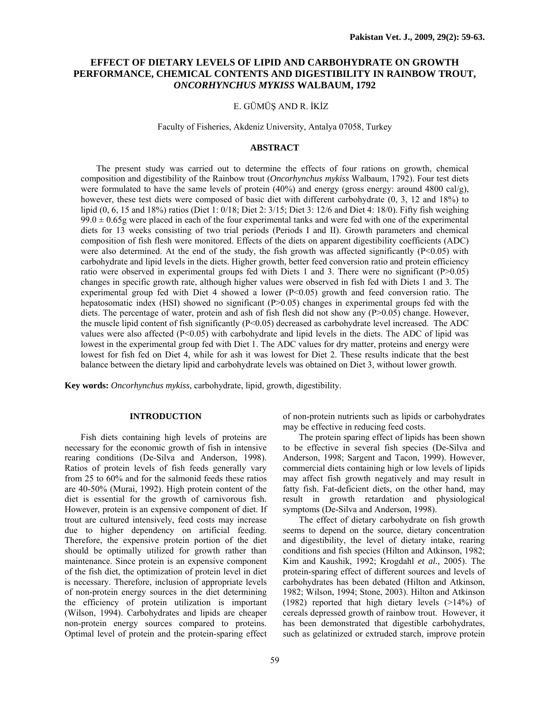# **EFFECT OF DIETARY LEVELS OF LIPID AND CARBOHYDRATE ON GROWTH PERFORMANCE, CHEMICAL CONTENTS AND DIGESTIBILITY IN RAINBOW TROUT,**  *ONCORHYNCHUS MYKISS* **WALBAUM, 1792**

## E. GÜMÜŞ AND R. İKİZ

### Faculty of Fisheries, Akdeniz University, Antalya 07058, Turkey

## **ABSTRACT**

The present study was carried out to determine the effects of four rations on growth, chemical composition and digestibility of the Rainbow trout (*Oncorhynchus mykiss* Walbaum, 1792). Four test diets were formulated to have the same levels of protein (40%) and energy (gross energy: around 4800 cal/g), however, these test diets were composed of basic diet with different carbohydrate  $(0, 3, 12, 18\%)$  to lipid (0, 6, 15 and 18%) ratios (Diet 1: 0/18; Diet 2: 3/15; Diet 3: 12/6 and Diet 4: 18/0). Fifty fish weighing  $99.0 \pm 0.65$ g were placed in each of the four experimental tanks and were fed with one of the experimental diets for 13 weeks consisting of two trial periods (Periods I and II). Growth parameters and chemical composition of fish flesh were monitored. Effects of the diets on apparent digestibility coefficients (ADC) were also determined. At the end of the study, the fish growth was affected significantly  $(P<0.05)$  with carbohydrate and lipid levels in the diets. Higher growth, better feed conversion ratio and protein efficiency ratio were observed in experimental groups fed with Diets 1 and 3. There were no significant (P>0.05) changes in specific growth rate, although higher values were observed in fish fed with Diets 1 and 3. The experimental group fed with Diet 4 showed a lower (P<0.05) growth and feed conversion ratio. The hepatosomatic index (HSI) showed no significant (P>0.05) changes in experimental groups fed with the diets. The percentage of water, protein and ash of fish flesh did not show any  $(P>0.05)$  change. However, the muscle lipid content of fish significantly  $(P<0.05)$  decreased as carbohydrate level increased. The ADC values were also affected (P<0.05) with carbohydrate and lipid levels in the diets. The ADC of lipid was lowest in the experimental group fed with Diet 1. The ADC values for dry matter, proteins and energy were lowest for fish fed on Diet 4, while for ash it was lowest for Diet 2. These results indicate that the best balance between the dietary lipid and carbohydrate levels was obtained on Diet 3, without lower growth.

**Key words:** *Oncorhynchus mykiss*, carbohydrate, lipid, growth, digestibility.

## **INTRODUCTION**

Fish diets containing high levels of proteins are necessary for the economic growth of fish in intensive rearing conditions (De-Silva and Anderson, 1998). Ratios of protein levels of fish feeds generally vary from 25 to 60% and for the salmonid feeds these ratios are 40-50% (Murai, 1992). High protein content of the diet is essential for the growth of carnivorous fish. However, protein is an expensive component of diet. If trout are cultured intensively, feed costs may increase due to higher dependency on artificial feeding. Therefore, the expensive protein portion of the diet should be optimally utilized for growth rather than maintenance. Since protein is an expensive component of the fish diet, the optimization of protein level in diet is necessary. Therefore, inclusion of appropriate levels of non-protein energy sources in the diet determining the efficiency of protein utilization is important (Wilson, 1994). Carbohydrates and lipids are cheaper non-protein energy sources compared to proteins. Optimal level of protein and the protein-sparing effect

59

of non-protein nutrients such as lipids or carbohydrates may be effective in reducing feed costs.

The protein sparing effect of lipids has been shown to be effective in several fish species (De-Silva and Anderson, 1998; Sargent and Tacon, 1999). However, commercial diets containing high or low levels of lipids may affect fish growth negatively and may result in fatty fish. Fat-deficient diets, on the other hand, may result in growth retardation and physiological symptoms (De-Silva and Anderson, 1998).

The effect of dietary carbohydrate on fish growth seems to depend on the source, dietary concentration and digestibility, the level of dietary intake, rearing conditions and fish species (Hilton and Atkinson, 1982; Kim and Kaushik, 1992; Krogdahl *et al.,* 2005). The protein-sparing effect of different sources and levels of carbohydrates has been debated (Hilton and Atkinson, 1982; Wilson, 1994; Stone, 2003). Hilton and Atkinson (1982) reported that high dietary levels (>14%) of cereals depressed growth of rainbow trout. However, it has been demonstrated that digestible carbohydrates, such as gelatinized or extruded starch, improve protein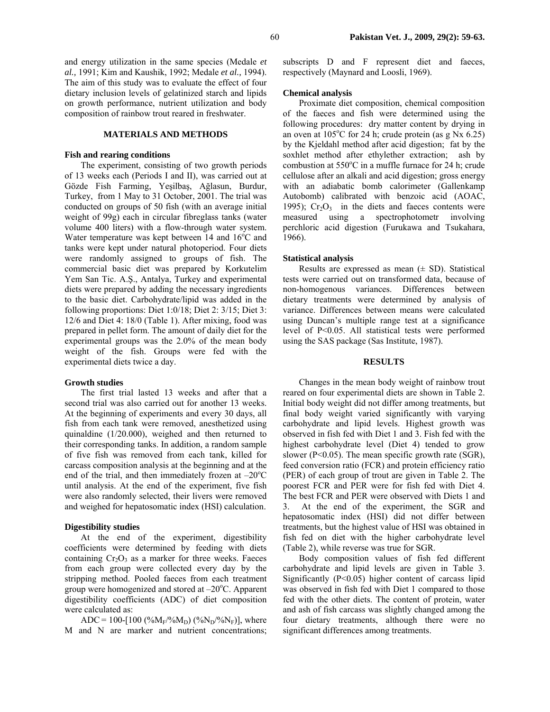and energy utilization in the same species (Medale *et al.,* 1991; Kim and Kaushik, 1992; Medale *et al.,* 1994). The aim of this study was to evaluate the effect of four dietary inclusion levels of gelatinized starch and lipids on growth performance, nutrient utilization and body composition of rainbow trout reared in freshwater.

## **MATERIALS AND METHODS**

#### **Fish and rearing conditions**

The experiment, consisting of two growth periods of 13 weeks each (Periods I and II), was carried out at Gözde Fish Farming, Yeşilbaş, Ağlasun, Burdur, Turkey, from 1 May to 31 October, 2001. The trial was conducted on groups of 50 fish (with an average initial weight of 99g) each in circular fibreglass tanks (water volume 400 liters) with a flow-through water system. Water temperature was kept between  $14$  and  $16^{\circ}$ C and tanks were kept under natural photoperiod. Four diets were randomly assigned to groups of fish. The commercial basic diet was prepared by Korkutelim Yem San Tic. A.Ş., Antalya, Turkey and experimental diets were prepared by adding the necessary ingredients to the basic diet. Carbohydrate/lipid was added in the following proportions: Diet 1:0/18; Diet 2: 3/15; Diet 3: 12/6 and Diet 4: 18/0 (Table 1). After mixing, food was prepared in pellet form. The amount of daily diet for the experimental groups was the 2.0% of the mean body weight of the fish. Groups were fed with the experimental diets twice a day.

#### **Growth studies**

The first trial lasted 13 weeks and after that a second trial was also carried out for another 13 weeks. At the beginning of experiments and every 30 days, all fish from each tank were removed, anesthetized using quinaldine (1/20.000), weighed and then returned to their corresponding tanks. In addition, a random sample of five fish was removed from each tank, killed for carcass composition analysis at the beginning and at the end of the trial, and then immediately frozen at  $-20^{\circ}$ C until analysis. At the end of the experiment, five fish were also randomly selected, their livers were removed and weighed for hepatosomatic index (HSI) calculation.

#### **Digestibility studies**

At the end of the experiment, digestibility coefficients were determined by feeding with diets containing  $Cr_2O_3$  as a marker for three weeks. Faeces from each group were collected every day by the stripping method. Pooled faeces from each treatment group were homogenized and stored at  $-20^{\circ}$ C. Apparent digestibility coefficients (ADC) of diet composition were calculated as:

ADC = 100-[100 (% $M_F$ /% $M_D$ ) (% $N_D$ /% $N_F$ )], where M and N are marker and nutrient concentrations; subscripts D and F represent diet and faeces, respectively (Maynard and Loosli, 1969).

#### **Chemical analysis**

Proximate diet composition, chemical composition of the faeces and fish were determined using the following procedures: dry matter content by drying in an oven at  $105^{\circ}$ C for 24 h; crude protein (as g Nx 6.25) by the Kjeldahl method after acid digestion; fat by the soxhlet method after ethylether extraction; ash by combustion at 550°C in a muffle furnace for 24 h; crude cellulose after an alkali and acid digestion; gross energy with an adiabatic bomb calorimeter (Gallenkamp Autobomb) calibrated with benzoic acid (AOAC, 1995);  $Cr_2O_3$  in the diets and faeces contents were measured using a spectrophotometr involving perchloric acid digestion (Furukawa and Tsukahara, 1966).

#### **Statistical analysis**

Results are expressed as mean  $(\pm SD)$ . Statistical tests were carried out on transformed data, because of non-homogenous variances. Differences between dietary treatments were determined by analysis of variance. Differences between means were calculated using Duncan's multiple range test at a significance level of P<0.05. All statistical tests were performed using the SAS package (Sas Institute, 1987).

## **RESULTS**

Changes in the mean body weight of rainbow trout reared on four experimental diets are shown in Table 2. Initial body weight did not differ among treatments, but final body weight varied significantly with varying carbohydrate and lipid levels. Highest growth was observed in fish fed with Diet 1 and 3. Fish fed with the highest carbohydrate level (Diet 4) tended to grow slower (P<0.05). The mean specific growth rate (SGR), feed conversion ratio (FCR) and protein efficiency ratio (PER) of each group of trout are given in Table 2. The poorest FCR and PER were for fish fed with Diet 4. The best FCR and PER were observed with Diets 1 and 3. At the end of the experiment, the SGR and hepatosomatic index (HSI) did not differ between treatments, but the highest value of HSI was obtained in fish fed on diet with the higher carbohydrate level (Table 2), while reverse was true for SGR.

Body composition values of fish fed different carbohydrate and lipid levels are given in Table 3. Significantly  $(P<0.05)$  higher content of carcass lipid was observed in fish fed with Diet 1 compared to those fed with the other diets. The content of protein, water and ash of fish carcass was slightly changed among the four dietary treatments, although there were no significant differences among treatments.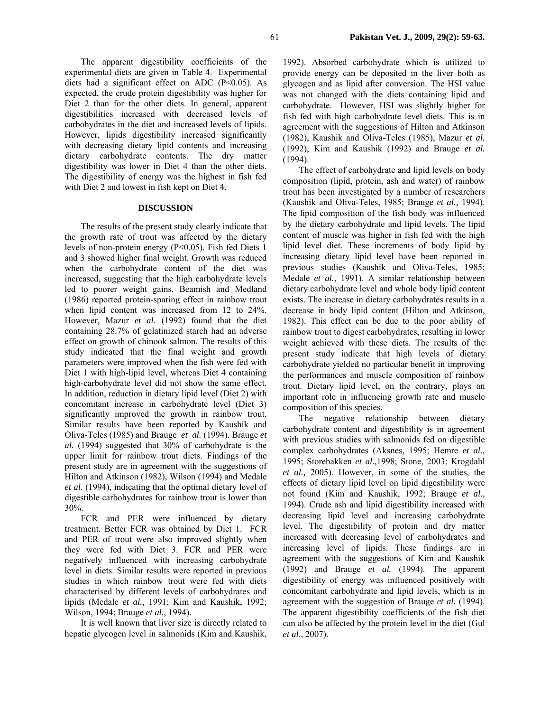The apparent digestibility coefficients of the experimental diets are given in Table 4. Experimental diets had a significant effect on ADC  $(P<0.05)$ . As expected, the crude protein digestibility was higher for Diet 2 than for the other diets. In general, apparent digestibilities increased with decreased levels of carbohydrates in the diet and increased levels of lipids. However, lipids digestibility increased significantly with decreasing dietary lipid contents and increasing dietary carbohydrate contents. The dry matter digestibility was lower in Diet 4 than the other diets. The digestibility of energy was the highest in fish fed with Diet 2 and lowest in fish kept on Diet 4.

# **DISCUSSION**

The results of the present study clearly indicate that the growth rate of trout was affected by the dietary levels of non-protein energy (P<0.05). Fish fed Diets 1 and 3 showed higher final weight. Growth was reduced when the carbohydrate content of the diet was increased, suggesting that the high carbohydrate levels led to poorer weight gains. Beamish and Medland (1986) reported protein-sparing effect in rainbow trout when lipid content was increased from 12 to 24%. However, Mazur *et al.* (1992) found that the diet containing 28.7% of gelatinized starch had an adverse effect on growth of chinook salmon. The results of this study indicated that the final weight and growth parameters were improved when the fish were fed with Diet 1 with high-lipid level, whereas Diet 4 containing high-carbohydrate level did not show the same effect. In addition, reduction in dietary lipid level (Diet 2) with concomitant increase in carbohydrate level (Diet 3) significantly improved the growth in rainbow trout. Similar results have been reported by Kaushik and Oliva-Teles (1985) and Brauge *et al.* (1994). Brauge *et al.* (1994) suggested that 30% of carbohydrate is the upper limit for rainbow trout diets. Findings of the present study are in agreement with the suggestions of Hilton and Atkinson (1982), Wilson (1994) and Medale *et al.* (1994), indicating that the optimal dietary level of digestible carbohydrates for rainbow trout is lower than 30%.

FCR and PER were influenced by dietary treatment. Better FCR was obtained by Diet 1. FCR and PER of trout were also improved slightly when they were fed with Diet 3. FCR and PER were negatively influenced with increasing carbohydrate level in diets. Similar results were reported in previous studies in which rainbow trout were fed with diets characterised by different levels of carbohydrates and lipids (Medale *et al.,* 1991; Kim and Kaushik, 1992; Wilson, 1994; Brauge *et al.,* 1994).

It is well known that liver size is directly related to hepatic glycogen level in salmonids (Kim and Kaushik,

1992). Absorbed carbohydrate which is utilized to provide energy can be deposited in the liver both as glycogen and as lipid after conversion. The HSI value was not changed with the diets containing lipid and carbohydrate. However, HSI was slightly higher for fish fed with high carbohydrate level diets. This is in agreement with the suggestions of Hilton and Atkinson (1982), Kaushik and Oliva-Teles (1985), Mazur *et al.* (1992), Kim and Kaushik (1992) and Brauge *et al.* (1994).

The effect of carbohydrate and lipid levels on body composition (lipid, protein, ash and water) of rainbow trout has been investigated by a number of researchers (Kaushik and Oliva-Teles, 1985; Brauge *et al.,* 1994). The lipid composition of the fish body was influenced by the dietary carbohydrate and lipid levels. The lipid content of muscle was higher in fish fed with the high lipid level diet. These increments of body lipid by increasing dietary lipid level have been reported in previous studies (Kaushik and Oliva-Teles, 1985; Medale *et al.,* 1991). A similar relationship between dietary carbohydrate level and whole body lipid content exists. The increase in dietary carbohydrates results in a decrease in body lipid content (Hilton and Atkinson, 1982). This effect can be due to the poor ability of rainbow trout to digest carbohydrates, resulting in lower weight achieved with these diets. The results of the present study indicate that high levels of dietary carbohydrate yielded no particular benefit in improving the performances and muscle composition of rainbow trout. Dietary lipid level, on the contrary, plays an important role in influencing growth rate and muscle composition of this species.

The negative relationship between dietary carbohydrate content and digestibility is in agreement with previous studies with salmonids fed on digestible complex carbohydrates (Aksnes, 1995; Hemre *et al.,* 1995; Storebakken *et al.,*1998; Stone, 2003; Krogdahl *et al.,* 2005). However, in some of the studies, the effects of dietary lipid level on lipid digestibility were not found (Kim and Kaushik, 1992; Brauge *et al.,* 1994). Crude ash and lipid digestibility increased with decreasing lipid level and increasing carbohydrate level. The digestibility of protein and dry matter increased with decreasing level of carbohydrates and increasing level of lipids. These findings are in agreement with the suggestions of Kim and Kaushik (1992) and Brauge *et al.* (1994). The apparent digestibility of energy was influenced positively with concomitant carbohydrate and lipid levels, which is in agreement with the suggestion of Brauge *et al.* (1994). The apparent digestibility coefficients of the fish diet can also be affected by the protein level in the diet (Gul *et al*., 2007).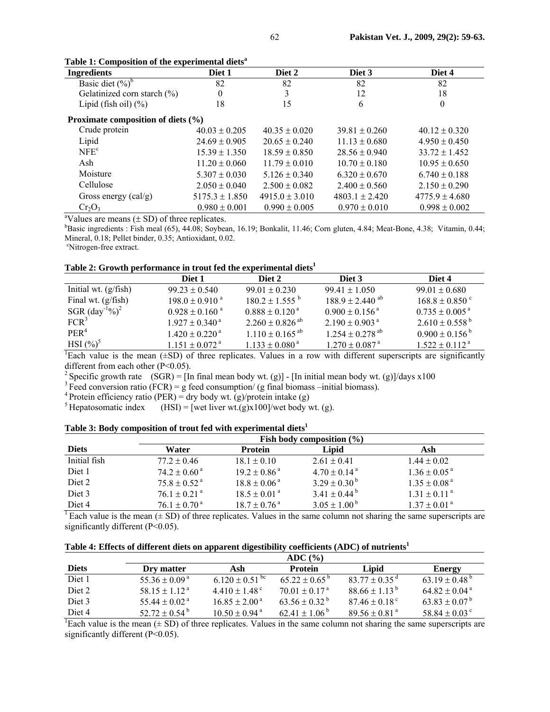| <b>Ingredients</b>                                      | Diet 1             | Diet 2             | Diet 3             | Diet 4             |  |  |  |
|---------------------------------------------------------|--------------------|--------------------|--------------------|--------------------|--|--|--|
| Basic diet $(\%)^b$                                     | 82                 | 82                 | 82                 | 82                 |  |  |  |
| Gelatinized corn starch (%)                             | $\theta$           |                    | 12                 | 18                 |  |  |  |
| Lipid (fish oil) $(\% )$                                | 18                 | 15                 | 6                  | 0                  |  |  |  |
| Proximate composition of diets (%)                      |                    |                    |                    |                    |  |  |  |
| Crude protein                                           | $40.03 \pm 0.205$  | $40.35 \pm 0.020$  | $39.81 \pm 0.260$  | $40.12 \pm 0.320$  |  |  |  |
| Lipid                                                   | $24.69 \pm 0.905$  | $20.65 \pm 0.240$  | $11.13 \pm 0.680$  | $4.950 \pm 0.450$  |  |  |  |
| NFE <sup>c</sup>                                        | $15.39 \pm 1.350$  | $18.59 \pm 0.850$  | $28.56 \pm 0.940$  | $33.72 \pm 1.452$  |  |  |  |
| Ash                                                     | $11.20 \pm 0.060$  | $11.79 \pm 0.010$  | $10.70 \pm 0.180$  | $10.95 \pm 0.650$  |  |  |  |
| Moisture                                                | $5.307 \pm 0.030$  | $5.126 \pm 0.340$  | $6.320 \pm 0.670$  | $6.740 \pm 0.188$  |  |  |  |
| Cellulose                                               | $2.050 \pm 0.040$  | $2.500 \pm 0.082$  | $2.400 \pm 0.560$  | $2.150 \pm 0.290$  |  |  |  |
| Gross energy $\left(\text{cal/g}\right)$                | $5175.3 \pm 1.850$ | $4915.0 \pm 3.010$ | $4803.1 \pm 2.420$ | $4775.9 \pm 4.680$ |  |  |  |
| $Cr_2O_3$                                               | $0.980 \pm 0.001$  | $0.990 \pm 0.005$  | $0.970 \pm 0.010$  | $0.998 \pm 0.002$  |  |  |  |
| $^{a}$ Values are means $( \pm$ SD) of three repliestes |                    |                    |                    |                    |  |  |  |

|  |  |  | Table 1: Composition of the experimental diets <sup>a</sup> |  |
|--|--|--|-------------------------------------------------------------|--|
|--|--|--|-------------------------------------------------------------|--|

<sup>a</sup>Values are means  $(\pm SD)$  of three replicates.

Basic ingredients : Fish meal (65), 44.08; Soybean, 16.19; Bonkalit, 11.46; Corn gluten, 4.84; Meat-Bone, 4.38; Vitamin, 0.44; Mineral, 0.18; Pellet binder, 0.35; Antioxidant, 0.02.

<sup>c</sup>Nitrogen-free extract.

## Table 2: Growth performance in trout fed the experimental diets<sup>1</sup>

|                                       | Diet 1                         | Diet 2                          | Diet 3                          | Diet 4                       |
|---------------------------------------|--------------------------------|---------------------------------|---------------------------------|------------------------------|
| Initial wt. $(g/fish)$                | $99.23 \pm 0.540$              | $99.01 \pm 0.230$               | $99.41 \pm 1.050$               | $99.01 \pm 0.680$            |
| Final wt. $(g/fish)$                  | $198.0 \pm 0.910^{a}$          | $180.2 \pm 1.555^{\text{b}}$    | $188.9 \pm 2.440$ ab            | $168.8 \pm 0.850$ c          |
| SGR $\left(\text{day}^{-1}\%right)^2$ | $0.928 \pm 0.160$ <sup>a</sup> | $0.888 \pm 0.120^{\text{a}}$    | $0.900 \pm 0.156$ <sup>a</sup>  | $0.735 \pm 0.005^{\text{a}}$ |
| FCR <sup>3</sup>                      | $1.927 \pm 0.340^{\text{ a}}$  | $2.260 \pm 0.826$ <sup>ab</sup> | $2.190 \pm 0.903$ <sup>a</sup>  | $2.610 \pm 0.558^{\circ}$    |
| PER <sup>4</sup>                      | $1.420 \pm 0.220$ <sup>a</sup> | $1.110 \pm 0.165$ <sup>ab</sup> | $1.254 \pm 0.278$ <sup>ab</sup> | $0.900 \pm 0.156^{\circ}$    |
| $HSI(%)^5$                            | $1.151 \pm 0.072$ <sup>a</sup> | $1.133 \pm 0.080^{\text{a}}$    | $1.270 \pm 0.087$ <sup>a</sup>  | $1.522 \pm 0.112^{\text{a}}$ |

<sup>1</sup>Each value is the mean  $(\pm SD)$  of three replicates. Values in a row with different superscripts are significantly different from each other (P<0.05).<br>
<sup>2</sup> Specific growth rate (SGR) = [In final mean body wt. (g)] - [In initial mean body wt. (g)]/days x100

<sup>3</sup> Feed conversion ratio (FCR) = g feed consumption/ (g final biomass –initial biomass). <sup>4</sup> Protein efficiency ratio (PER) = dry body wt. (g)/protein intake (g)

<sup>5</sup> Hepatosomatic index (HSI) = [wet liver wt.(g)x100]/wet body wt. (g).

# Table 3: Body composition of trout fed with experimental diets<sup>1</sup>

|              | Fish body composition $(\% )$ |                             |                              |                              |  |
|--------------|-------------------------------|-----------------------------|------------------------------|------------------------------|--|
| <b>Diets</b> | Water                         | <b>Protein</b>              | Lipid                        | Ash                          |  |
| Initial fish | $77.2 \pm 0.46$               | $18.1 \pm 0.10$             | $2.61 \pm 0.41$              | $1.44 \pm 0.02$              |  |
| Diet 1       | $74.2 \pm 0.60$ <sup>a</sup>  | $19.2 \pm 0.86^{\text{a}}$  | $4.70 \pm 0.14$ <sup>a</sup> | $1.36 \pm 0.05^{\text{a}}$   |  |
| Diet 2       | $75.8 \pm 0.52$ <sup>a</sup>  | $18.8 \pm 0.06^{\text{a}}$  | $3.29 \pm 0.30^{\mathrm{b}}$ | $1.35 \pm 0.08$ <sup>a</sup> |  |
| Diet 3       | $76.1 \pm 0.21$ <sup>a</sup>  | $18.5 \pm 0.01^{\text{a}}$  | $3.41 \pm 0.44^{\mathrm{b}}$ | $1.31 \pm 0.11^{\text{a}}$   |  |
| Diet 4       | $76.1 \pm 0.70$ <sup>a</sup>  | $18.7 \pm 0.76^{\text{ a}}$ | $3.05 \pm 1.00^{\mathrm{b}}$ | $1.37 \pm 0.01$ <sup>a</sup> |  |

<sup>1</sup> Each value is the mean  $(\pm SD)$  of three replicates. Values in the same column not sharing the same superscripts are significantly different (P<0.05).

| Table 4: Effects of different diets on apparent digestibility coefficients (ADC) of nutrients $^1$ |  |
|----------------------------------------------------------------------------------------------------|--|

|              | ADC (%)                       |                                |                               |                               |                               |
|--------------|-------------------------------|--------------------------------|-------------------------------|-------------------------------|-------------------------------|
| <b>Diets</b> | Dry matter                    | Ash                            | <b>Protein</b>                | Lipid                         | Energy                        |
| Diet 1       | $55.36 \pm 0.09^{\text{a}}$   | $6.120 \pm 0.51$ <sup>bc</sup> | $6522 + 0.65^{\circ}$         | $83\,77 + 0.35$ <sup>d</sup>  | 63 19 + 0.48 <sup>b</sup>     |
| Diet 2       | 58 15 + 1 12 <sup>a</sup>     | $4.410 \pm 1.48$ <sup>c</sup>  | $70.01 + 0.17a$               | $88.66 \pm 1.13^{\circ}$      | $64.82 \pm 0.04$ <sup>a</sup> |
| Diet 3       | 55 44 + 0.02 <sup>a</sup>     | $16.85 + 2.00a$                | $63.56 \pm 0.32^{\mathrm{b}}$ | $87.46 \pm 0.18$ <sup>c</sup> | $63.83 + 0.07^b$              |
| Diet 4       | $52.72 \pm 0.54^{\mathrm{b}}$ | $10.50 + 0.94$ <sup>a</sup>    | $62.41 \pm 1.06^{\mathrm{b}}$ | $89.56 \pm 0.81$ <sup>a</sup> | 58 84 + 0.03 <sup>c</sup>     |

<sup>1</sup>Each value is the mean  $(\pm SD)$  of three replicates. Values in the same column not sharing the same superscripts are significantly different (P<0.05).